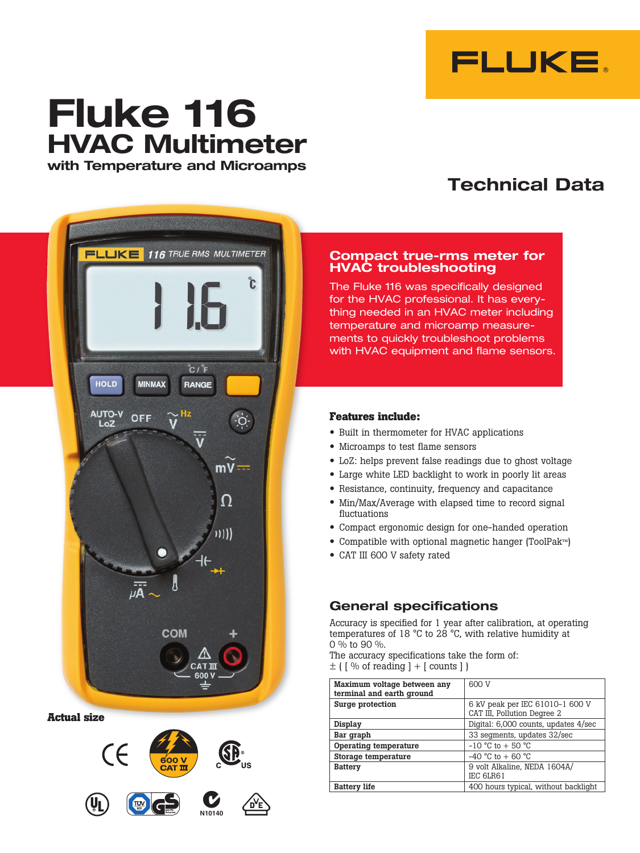

# **Fluke 116 HVAC Multimeter with Temperature and Microamps**

## **Technical Data**



**Actual size**



#### **Compact true-rms meter for HVAC troubleshooting**

The Fluke 116 was specifically designed for the HVAC professional. It has everything needed in an HVAC meter including temperature and microamp measurements to quickly troubleshoot problems with HVAC equipment and flame sensors.

#### **Features include:**

- • Built in thermometer for HVAC applications
- Microamps to test flame sensors
- • LoZ: helps prevent false readings due to ghost voltage
- • Large white LED backlight to work in poorly lit areas
- Resistance, continuity, frequency and capacitance
- Min/Max/Average with elapsed time to record signal fluctuations
- • Compact ergonomic design for one-handed operation
- • Compatible with optional magnetic hanger (ToolPak™)
- CAT III 600 V safety rated

### **General specifications**

Accuracy is specified for 1 year after calibration, at operating temperatures of 18 °C to 28 °C, with relative humidity at 0 % to 90 %.

The accuracy specifications take the form of:  $\pm$  ( [ % of reading ] + [ counts ] )

| Maximum voltage between any<br>terminal and earth ground | 600 V                                                          |  |
|----------------------------------------------------------|----------------------------------------------------------------|--|
| Surge protection                                         | 6 kV peak per IEC 61010-1 600 V<br>CAT III, Pollution Degree 2 |  |
| Display                                                  | Digital: 6,000 counts, updates 4/sec                           |  |
| Bar graph                                                | 33 segments, updates 32/sec                                    |  |
| Operating temperature                                    | $-10$ °C to $+50$ °C                                           |  |
| Storage temperature                                      | $-40$ °C to $+60$ °C                                           |  |
| <b>Battery</b>                                           | 9 volt Alkaline, NEDA 1604A/<br>IEC 6LR61                      |  |
| <b>Battery life</b>                                      | 400 hours typical, without backlight                           |  |
|                                                          |                                                                |  |